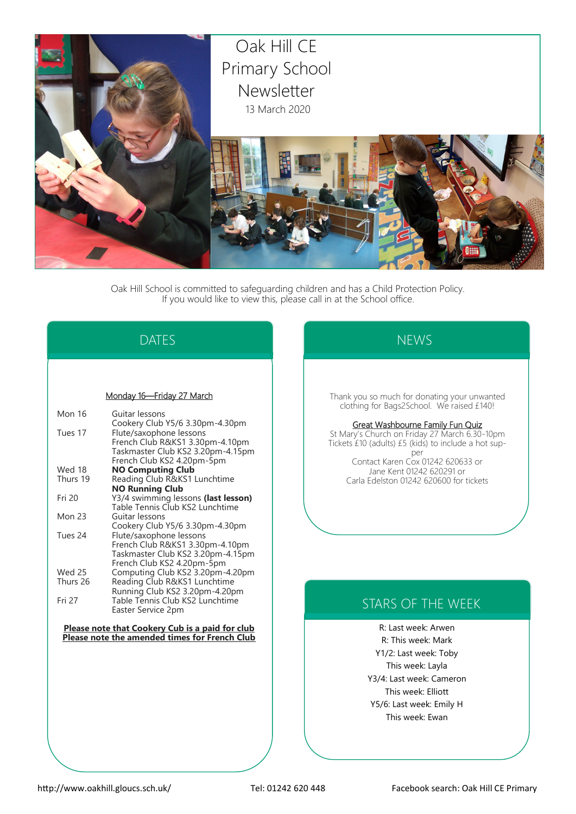

Oak Hill School is committed to safeguarding children and has a Child Protection Policy. If you would like to view this, please call in at the School office.

# DATES

#### Monday 16—Friday 27 March

| Mon 16        | Guitar lessons                      |
|---------------|-------------------------------------|
|               | Cookery Club Y5/6 3.30pm-4.30pm     |
| Tues 17       | Flute/saxophone lessons             |
|               | French Club R&KS1 3.30pm-4.10pm     |
|               | Taskmaster Club KS2 3.20pm-4.15pm   |
|               | French Club KS2 4.20pm-5pm          |
| Wed 18        | <b>NO Computing Club</b>            |
| Thurs 19      | Reading Club R&KS1 Lunchtime        |
|               | <b>NO Running Club</b>              |
| Fri 20        | Y3/4 swimming lessons (last lesson) |
|               | Table Tennis Club KS2 Lunchtime     |
| <b>Mon 23</b> | Guitar lessons                      |
|               | Cookery Club Y5/6 3.30pm-4.30pm     |
| Tues 24       | Flute/saxophone lessons             |
|               | French Club R&KS1 3.30pm-4.10pm     |
|               | Taskmaster Club KS2 3.20pm-4.15pm   |
|               | French Club KS2 4.20pm-5pm          |
| Wed 25        | Computing Club KS2 3.20pm-4.20pm    |
| Thurs 26      | Reading Club R&KS1 Lunchtime        |
|               | Running Club KS2 3.20pm-4.20pm      |
| Fri 27        | Table Tennis Club KS2 Lunchtime     |
|               | Easter Service 2pm                  |
|               |                                     |

**Please note that Cookery Cub is a paid for club Please note the amended times for French Club**

# **NEWS**

Thank you so much for donating your unwanted clothing for Bags2School. We raised £140!

#### Great Washbourne Family Fun Quiz

St Mary's Church on Friday 27 March 6.30-10pm Tickets £10 (adults) £5 (kids) to include a hot supper

Contact Karen Cox 01242 620633 or Jane Kent 01242 620291 or Carla Edelston 01242 620600 for tickets

## STARS OF THE WEEK

R: Last week: Arwen R: This week: Mark Y1/2: Last week: Toby This week: Layla Y3/4: Last week: Cameron This week: Elliott Y5/6: Last week: Emily H This week: Ewan